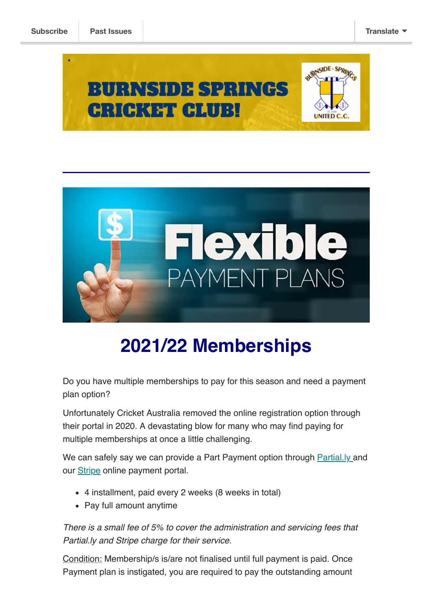



## **2021/22 Memberships**

Do you have multiple memberships to pay for this season and need a payment plan option?

Unfortunately Cricket Australia removed the online registration option through their portal in 2020. A devastating blow for many who may find paying for multiple memberships at once a little challenging.

We can safely say we can provide a Part Payment option through **[Partial.ly](https://partial.ly/) and** our **[Stripe](http://stripe.com/)** online payment portal.

- 4 installment, paid every 2 weeks (8 weeks in total)
- Pay full amount anytime

*There is a small fee of 5% to cover the administration and servicing fees that Partial.ly and Stripe charge for their service.*

Condition: Membership/s is/are not finalised until full payment is paid. Once Payment plan is instigated, you are required to pay the outstanding amount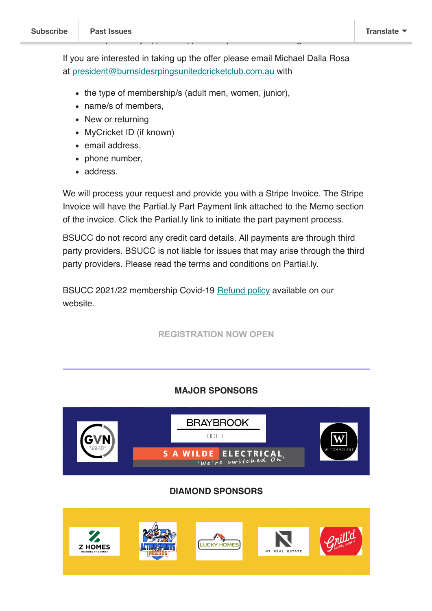If you are interested in taking up the offer please email Michael Dalla Rosa at [president@burnsidesrpingsunitedcricketclub.com.au](mailto:president@burnsidesrpingsunitedcricketclub.com.au?subject=Membership%20Part%20Payment%20option) with

- the type of membership/s (adult men, women, junior),
- name/s of members.
- New or returning
- MyCricket ID (if known)
- email address.
- phone number,
- address.

We will process your request and provide you with a Stripe Invoice. The Stripe Invoice will have the Partial.ly Part Payment link attached to the Memo section of the invoice. Click the Partial.ly link to initiate the part payment process.

BSUCC do not record any credit card details. All payments are through third party providers. BSUCC is not liable for issues that may arise through the third party providers. Please read the terms and conditions on Partial.ly.

BSUCC 2021/22 membership Covid-19 [Refund policy](http://burnsidespringsunitedcricketclub.com.au/registration/) available on our website.

**[REGISTRATION NOW OPEN](http://burnsidespringsunitedcricketclub.com.au/registration/)**

## **MAJOR SPONSORS**